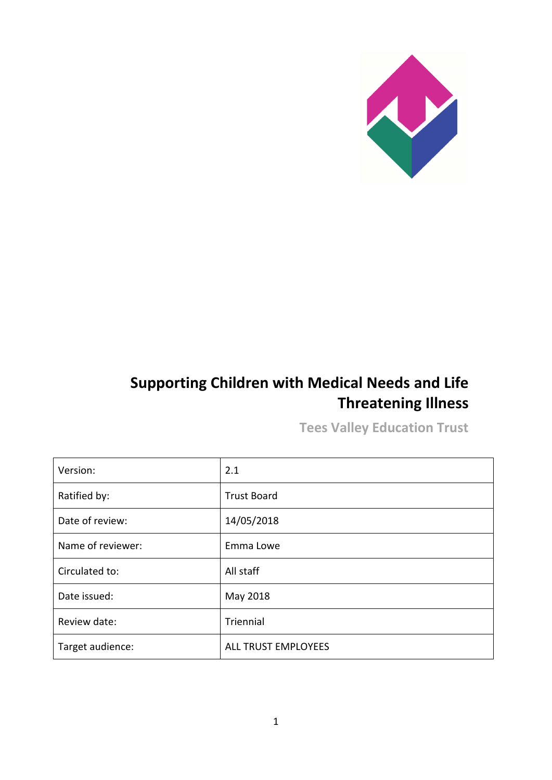

# **Supporting Children with Medical Needs and Life Threatening Illness**

**Tees Valley Education Trust**

| Version:          | 2.1                 |
|-------------------|---------------------|
| Ratified by:      | <b>Trust Board</b>  |
| Date of review:   | 14/05/2018          |
| Name of reviewer: | Emma Lowe           |
| Circulated to:    | All staff           |
| Date issued:      | May 2018            |
| Review date:      | Triennial           |
| Target audience:  | ALL TRUST EMPLOYEES |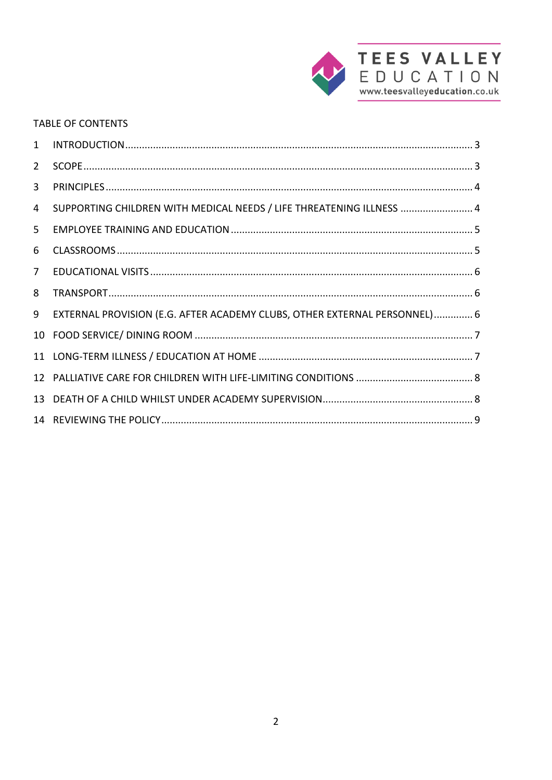

#### **TABLE OF CONTENTS**

| $\mathbf{1}$    |                                                                           |  |
|-----------------|---------------------------------------------------------------------------|--|
| $\overline{2}$  |                                                                           |  |
| 3               |                                                                           |  |
| 4               | SUPPORTING CHILDREN WITH MEDICAL NEEDS / LIFE THREATENING ILLNESS  4      |  |
| 5.              |                                                                           |  |
| 6               |                                                                           |  |
| $\overline{7}$  |                                                                           |  |
| 8               |                                                                           |  |
| 9               | EXTERNAL PROVISION (E.G. AFTER ACADEMY CLUBS, OTHER EXTERNAL PERSONNEL) 6 |  |
| 10              |                                                                           |  |
|                 |                                                                           |  |
| 12              |                                                                           |  |
| 13 <sup>1</sup> |                                                                           |  |
|                 |                                                                           |  |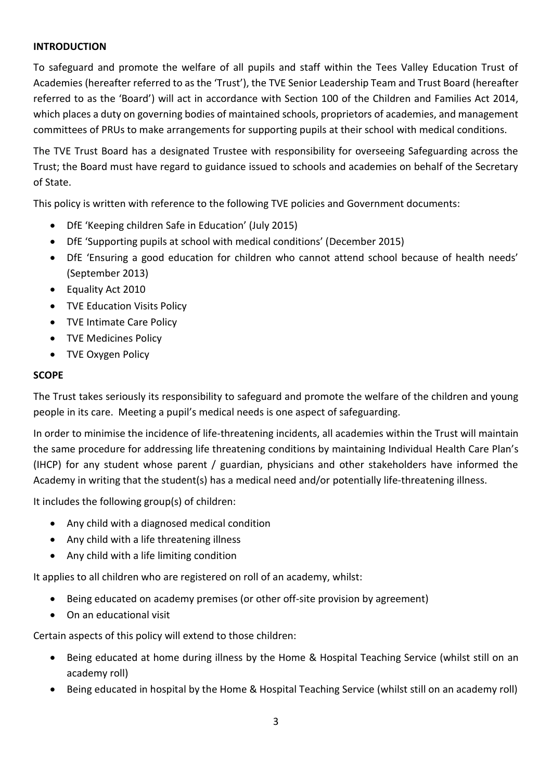### <span id="page-2-0"></span>**INTRODUCTION**

To safeguard and promote the welfare of all pupils and staff within the Tees Valley Education Trust of Academies (hereafter referred to as the 'Trust'), the TVE Senior Leadership Team and Trust Board (hereafter referred to as the 'Board') will act in accordance with Section 100 of the Children and Families Act 2014, which places a duty on governing bodies of maintained schools, proprietors of academies, and management committees of PRUs to make arrangements for supporting pupils at their school with medical conditions.

The TVE Trust Board has a designated Trustee with responsibility for overseeing Safeguarding across the Trust; the Board must have regard to guidance issued to schools and academies on behalf of the Secretary of State.

This policy is written with reference to the following TVE policies and Government documents:

- DfE 'Keeping children Safe in Education' (July 2015)
- DfE 'Supporting pupils at school with medical conditions' (December 2015)
- DfE 'Ensuring a good education for children who cannot attend school because of health needs' (September 2013)
- Equality Act 2010
- TVE Education Visits Policy
- TVE Intimate Care Policy
- TVE Medicines Policy
- TVE Oxygen Policy

#### <span id="page-2-1"></span>**SCOPE**

The Trust takes seriously its responsibility to safeguard and promote the welfare of the children and young people in its care. Meeting a pupil's medical needs is one aspect of safeguarding.

In order to minimise the incidence of life-threatening incidents, all academies within the Trust will maintain the same procedure for addressing life threatening conditions by maintaining Individual Health Care Plan's (IHCP) for any student whose parent / guardian, physicians and other stakeholders have informed the Academy in writing that the student(s) has a medical need and/or potentially life-threatening illness.

It includes the following group(s) of children:

- Any child with a diagnosed medical condition
- Any child with a life threatening illness
- Any child with a life limiting condition

It applies to all children who are registered on roll of an academy, whilst:

- Being educated on academy premises (or other off-site provision by agreement)
- On an educational visit

Certain aspects of this policy will extend to those children:

- Being educated at home during illness by the Home & Hospital Teaching Service (whilst still on an academy roll)
- Being educated in hospital by the Home & Hospital Teaching Service (whilst still on an academy roll)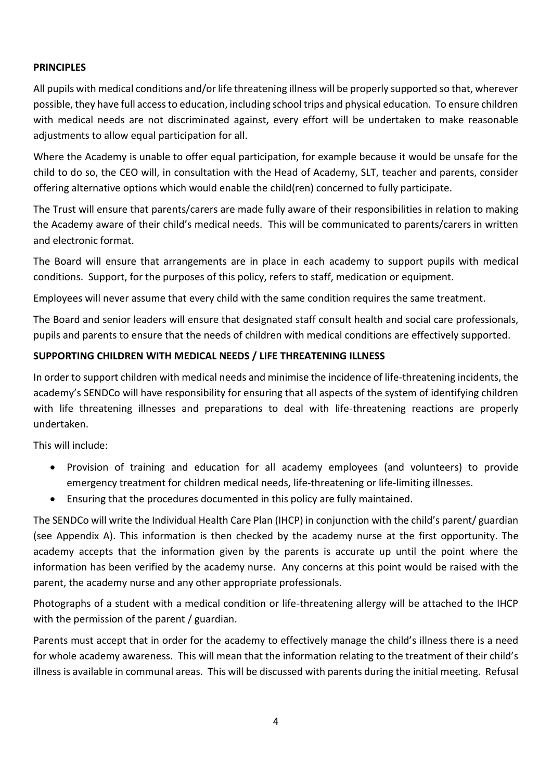#### <span id="page-3-0"></span>**PRINCIPLES**

All pupils with medical conditions and/or life threatening illness will be properly supported so that, wherever possible, they have full access to education, including school trips and physical education. To ensure children with medical needs are not discriminated against, every effort will be undertaken to make reasonable adjustments to allow equal participation for all.

Where the Academy is unable to offer equal participation, for example because it would be unsafe for the child to do so, the CEO will, in consultation with the Head of Academy, SLT, teacher and parents, consider offering alternative options which would enable the child(ren) concerned to fully participate.

The Trust will ensure that parents/carers are made fully aware of their responsibilities in relation to making the Academy aware of their child's medical needs. This will be communicated to parents/carers in written and electronic format.

The Board will ensure that arrangements are in place in each academy to support pupils with medical conditions. Support, for the purposes of this policy, refers to staff, medication or equipment.

Employees will never assume that every child with the same condition requires the same treatment.

The Board and senior leaders will ensure that designated staff consult health and social care professionals, pupils and parents to ensure that the needs of children with medical conditions are effectively supported.

#### <span id="page-3-1"></span>**SUPPORTING CHILDREN WITH MEDICAL NEEDS / LIFE THREATENING ILLNESS**

In order to support children with medical needs and minimise the incidence of life-threatening incidents, the academy's SENDCo will have responsibility for ensuring that all aspects of the system of identifying children with life threatening illnesses and preparations to deal with life-threatening reactions are properly undertaken.

This will include:

- Provision of training and education for all academy employees (and volunteers) to provide emergency treatment for children medical needs, life-threatening or life-limiting illnesses.
- Ensuring that the procedures documented in this policy are fully maintained.

The SENDCo will write the Individual Health Care Plan (IHCP) in conjunction with the child's parent/ guardian (see Appendix A). This information is then checked by the academy nurse at the first opportunity. The academy accepts that the information given by the parents is accurate up until the point where the information has been verified by the academy nurse. Any concerns at this point would be raised with the parent, the academy nurse and any other appropriate professionals.

Photographs of a student with a medical condition or life-threatening allergy will be attached to the IHCP with the permission of the parent / guardian.

Parents must accept that in order for the academy to effectively manage the child's illness there is a need for whole academy awareness. This will mean that the information relating to the treatment of their child's illness is available in communal areas. This will be discussed with parents during the initial meeting. Refusal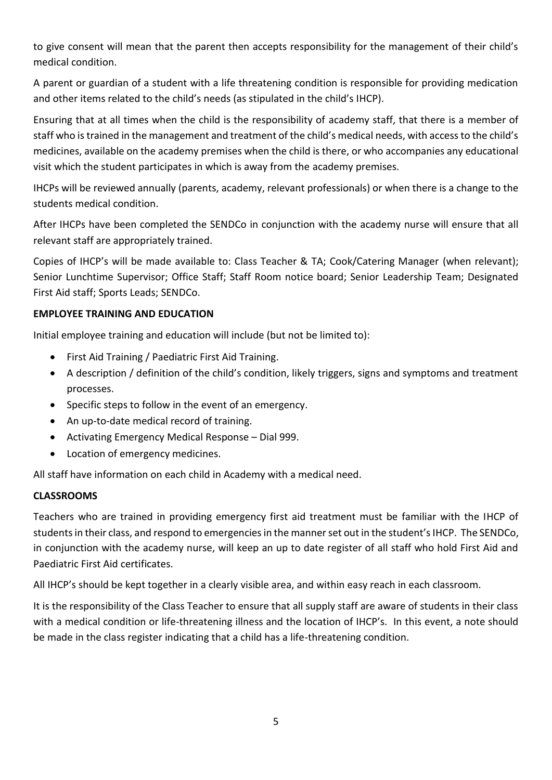to give consent will mean that the parent then accepts responsibility for the management of their child's medical condition.

A parent or guardian of a student with a life threatening condition is responsible for providing medication and other items related to the child's needs (as stipulated in the child's IHCP).

Ensuring that at all times when the child is the responsibility of academy staff, that there is a member of staff who is trained in the management and treatment of the child's medical needs, with access to the child's medicines, available on the academy premises when the child is there, or who accompanies any educational visit which the student participates in which is away from the academy premises.

IHCPs will be reviewed annually (parents, academy, relevant professionals) or when there is a change to the students medical condition.

After IHCPs have been completed the SENDCo in conjunction with the academy nurse will ensure that all relevant staff are appropriately trained.

Copies of IHCP's will be made available to: Class Teacher & TA; Cook/Catering Manager (when relevant); Senior Lunchtime Supervisor; Office Staff; Staff Room notice board; Senior Leadership Team; Designated First Aid staff; Sports Leads; SENDCo.

#### <span id="page-4-0"></span>**EMPLOYEE TRAINING AND EDUCATION**

Initial employee training and education will include (but not be limited to):

- First Aid Training / Paediatric First Aid Training.
- A description / definition of the child's condition, likely triggers, signs and symptoms and treatment processes.
- Specific steps to follow in the event of an emergency.
- An up-to-date medical record of training.
- Activating Emergency Medical Response Dial 999.
- Location of emergency medicines.

All staff have information on each child in Academy with a medical need.

#### <span id="page-4-1"></span>**CLASSROOMS**

Teachers who are trained in providing emergency first aid treatment must be familiar with the IHCP of students in their class, and respond to emergencies in the manner set out in the student's IHCP. The SENDCo, in conjunction with the academy nurse, will keep an up to date register of all staff who hold First Aid and Paediatric First Aid certificates.

All IHCP's should be kept together in a clearly visible area, and within easy reach in each classroom.

<span id="page-4-2"></span>It is the responsibility of the Class Teacher to ensure that all supply staff are aware of students in their class with a medical condition or life-threatening illness and the location of IHCP's. In this event, a note should be made in the class register indicating that a child has a life-threatening condition.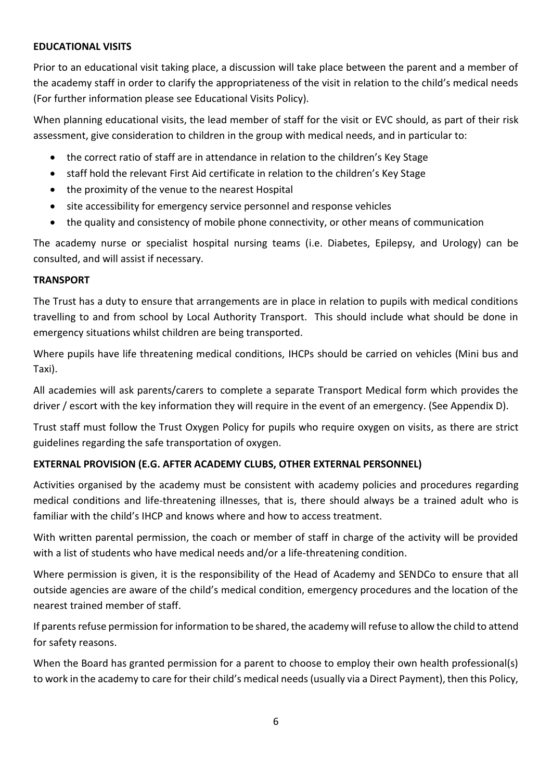#### **EDUCATIONAL VISITS**

Prior to an educational visit taking place, a discussion will take place between the parent and a member of the academy staff in order to clarify the appropriateness of the visit in relation to the child's medical needs (For further information please see Educational Visits Policy).

When planning educational visits, the lead member of staff for the visit or EVC should, as part of their risk assessment, give consideration to children in the group with medical needs, and in particular to:

- the correct ratio of staff are in attendance in relation to the children's Key Stage
- staff hold the relevant First Aid certificate in relation to the children's Key Stage
- the proximity of the venue to the nearest Hospital
- site accessibility for emergency service personnel and response vehicles
- the quality and consistency of mobile phone connectivity, or other means of communication

The academy nurse or specialist hospital nursing teams (i.e. Diabetes, Epilepsy, and Urology) can be consulted, and will assist if necessary.

## <span id="page-5-0"></span>**TRANSPORT**

The Trust has a duty to ensure that arrangements are in place in relation to pupils with medical conditions travelling to and from school by Local Authority Transport. This should include what should be done in emergency situations whilst children are being transported.

Where pupils have life threatening medical conditions, IHCPs should be carried on vehicles (Mini bus and Taxi).

All academies will ask parents/carers to complete a separate Transport Medical form which provides the driver / escort with the key information they will require in the event of an emergency. (See Appendix D).

Trust staff must follow the Trust Oxygen Policy for pupils who require oxygen on visits, as there are strict guidelines regarding the safe transportation of oxygen.

## <span id="page-5-1"></span>**EXTERNAL PROVISION (E.G. AFTER ACADEMY CLUBS, OTHER EXTERNAL PERSONNEL)**

Activities organised by the academy must be consistent with academy policies and procedures regarding medical conditions and life-threatening illnesses, that is, there should always be a trained adult who is familiar with the child's IHCP and knows where and how to access treatment.

With written parental permission, the coach or member of staff in charge of the activity will be provided with a list of students who have medical needs and/or a life-threatening condition.

Where permission is given, it is the responsibility of the Head of Academy and SENDCo to ensure that all outside agencies are aware of the child's medical condition, emergency procedures and the location of the nearest trained member of staff.

If parents refuse permission for information to be shared, the academy will refuse to allow the child to attend for safety reasons.

When the Board has granted permission for a parent to choose to employ their own health professional(s) to work in the academy to care for their child's medical needs (usually via a Direct Payment), then this Policy,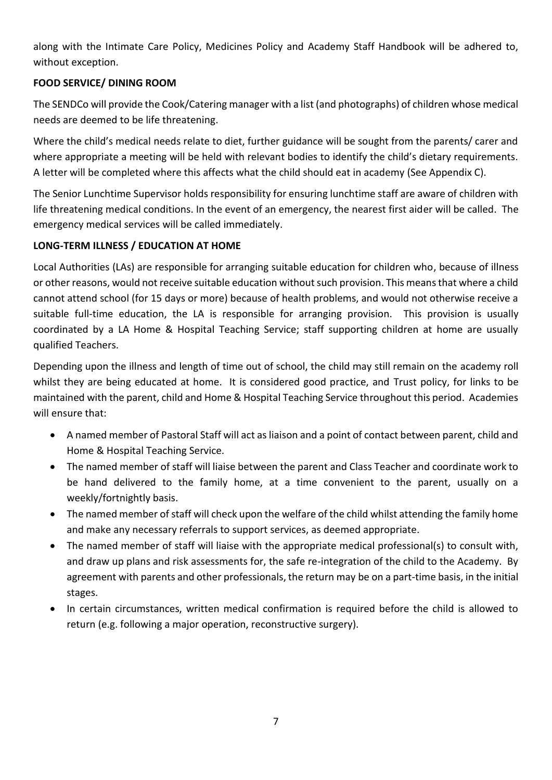along with the Intimate Care Policy, Medicines Policy and Academy Staff Handbook will be adhered to, without exception.

## <span id="page-6-0"></span>**FOOD SERVICE/ DINING ROOM**

The SENDCo will provide the Cook/Catering manager with a list (and photographs) of children whose medical needs are deemed to be life threatening.

Where the child's medical needs relate to diet, further guidance will be sought from the parents/ carer and where appropriate a meeting will be held with relevant bodies to identify the child's dietary requirements. A letter will be completed where this affects what the child should eat in academy (See Appendix C).

The Senior Lunchtime Supervisor holds responsibility for ensuring lunchtime staff are aware of children with life threatening medical conditions. In the event of an emergency, the nearest first aider will be called. The emergency medical services will be called immediately.

## <span id="page-6-1"></span>**LONG-TERM ILLNESS / EDUCATION AT HOME**

Local Authorities (LAs) are responsible for arranging suitable education for children who, because of illness or other reasons, would not receive suitable education without such provision. This means that where a child cannot attend school (for 15 days or more) because of health problems, and would not otherwise receive a suitable full-time education, the LA is responsible for arranging provision. This provision is usually coordinated by a LA Home & Hospital Teaching Service; staff supporting children at home are usually qualified Teachers.

Depending upon the illness and length of time out of school, the child may still remain on the academy roll whilst they are being educated at home. It is considered good practice, and Trust policy, for links to be maintained with the parent, child and Home & Hospital Teaching Service throughout this period. Academies will ensure that:

- A named member of Pastoral Staff will act as liaison and a point of contact between parent, child and Home & Hospital Teaching Service.
- The named member of staff will liaise between the parent and Class Teacher and coordinate work to be hand delivered to the family home, at a time convenient to the parent, usually on a weekly/fortnightly basis.
- The named member of staff will check upon the welfare of the child whilst attending the family home and make any necessary referrals to support services, as deemed appropriate.
- The named member of staff will liaise with the appropriate medical professional(s) to consult with, and draw up plans and risk assessments for, the safe re-integration of the child to the Academy. By agreement with parents and other professionals, the return may be on a part-time basis, in the initial stages.
- In certain circumstances, written medical confirmation is required before the child is allowed to return (e.g. following a major operation, reconstructive surgery).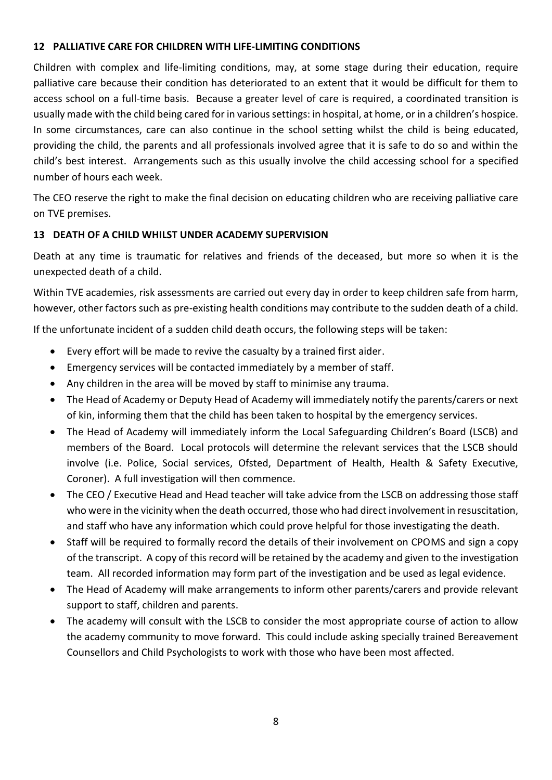#### <span id="page-7-0"></span>**12 PALLIATIVE CARE FOR CHILDREN WITH LIFE-LIMITING CONDITIONS**

Children with complex and life-limiting conditions, may, at some stage during their education, require palliative care because their condition has deteriorated to an extent that it would be difficult for them to access school on a full-time basis. Because a greater level of care is required, a coordinated transition is usually made with the child being cared for in various settings: in hospital, at home, or in a children's hospice. In some circumstances, care can also continue in the school setting whilst the child is being educated, providing the child, the parents and all professionals involved agree that it is safe to do so and within the child's best interest. Arrangements such as this usually involve the child accessing school for a specified number of hours each week.

The CEO reserve the right to make the final decision on educating children who are receiving palliative care on TVE premises.

#### <span id="page-7-1"></span>**13 DEATH OF A CHILD WHILST UNDER ACADEMY SUPERVISION**

Death at any time is traumatic for relatives and friends of the deceased, but more so when it is the unexpected death of a child.

Within TVE academies, risk assessments are carried out every day in order to keep children safe from harm, however, other factors such as pre-existing health conditions may contribute to the sudden death of a child.

If the unfortunate incident of a sudden child death occurs, the following steps will be taken:

- Every effort will be made to revive the casualty by a trained first aider.
- Emergency services will be contacted immediately by a member of staff.
- Any children in the area will be moved by staff to minimise any trauma.
- The Head of Academy or Deputy Head of Academy will immediately notify the parents/carers or next of kin, informing them that the child has been taken to hospital by the emergency services.
- The Head of Academy will immediately inform the Local Safeguarding Children's Board (LSCB) and members of the Board. Local protocols will determine the relevant services that the LSCB should involve (i.e. Police, Social services, Ofsted, Department of Health, Health & Safety Executive, Coroner). A full investigation will then commence.
- The CEO / Executive Head and Head teacher will take advice from the LSCB on addressing those staff who were in the vicinity when the death occurred, those who had direct involvement in resuscitation, and staff who have any information which could prove helpful for those investigating the death.
- Staff will be required to formally record the details of their involvement on CPOMS and sign a copy of the transcript. A copy of this record will be retained by the academy and given to the investigation team. All recorded information may form part of the investigation and be used as legal evidence.
- The Head of Academy will make arrangements to inform other parents/carers and provide relevant support to staff, children and parents.
- The academy will consult with the LSCB to consider the most appropriate course of action to allow the academy community to move forward. This could include asking specially trained Bereavement Counsellors and Child Psychologists to work with those who have been most affected.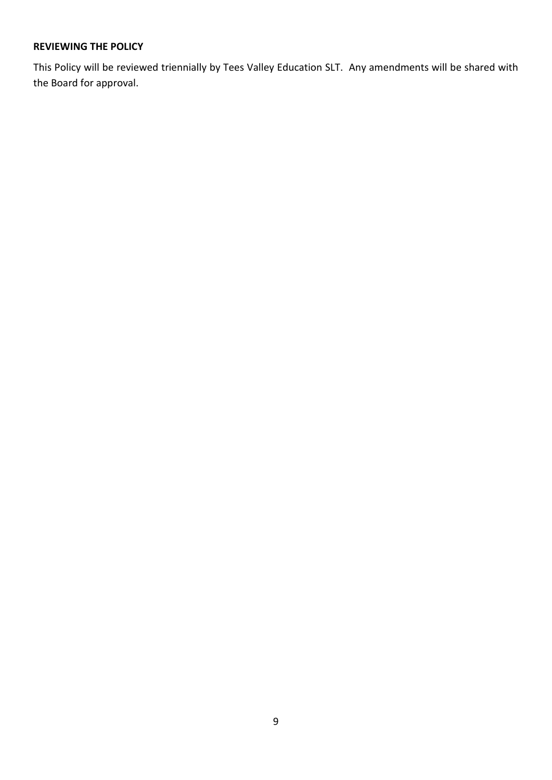#### <span id="page-8-0"></span>**REVIEWING THE POLICY**

This Policy will be reviewed triennially by Tees Valley Education SLT. Any amendments will be shared with the Board for approval.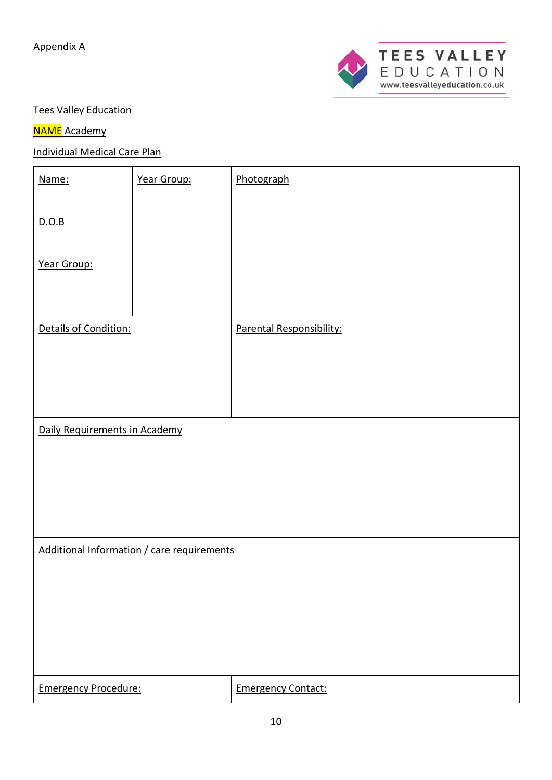

## Tees Valley Education

## **NAME** Academy

# Individual Medical Care Plan

| Name:                         | Year Group:                                | Photograph                |
|-------------------------------|--------------------------------------------|---------------------------|
|                               |                                            |                           |
| D.O.B                         |                                            |                           |
|                               |                                            |                           |
| Year Group:                   |                                            |                           |
|                               |                                            |                           |
|                               |                                            |                           |
| Details of Condition:         |                                            | Parental Responsibility:  |
|                               |                                            |                           |
|                               |                                            |                           |
|                               |                                            |                           |
|                               |                                            |                           |
| Daily Requirements in Academy |                                            |                           |
|                               |                                            |                           |
|                               |                                            |                           |
|                               |                                            |                           |
|                               |                                            |                           |
|                               |                                            |                           |
|                               | Additional Information / care requirements |                           |
|                               |                                            |                           |
|                               |                                            |                           |
|                               |                                            |                           |
|                               |                                            |                           |
|                               |                                            |                           |
| <b>Emergency Procedure:</b>   |                                            | <b>Emergency Contact:</b> |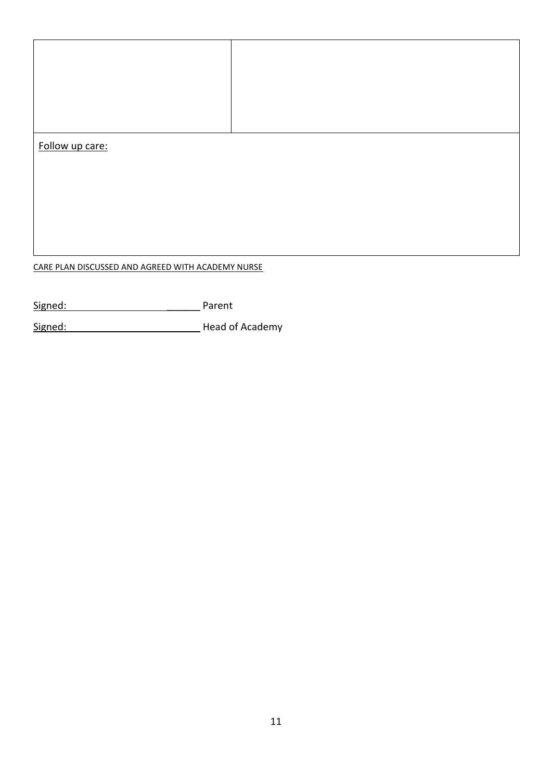| Follow up care: |  |
|-----------------|--|
|                 |  |
|                 |  |
|                 |  |
|                 |  |
|                 |  |
|                 |  |
|                 |  |
|                 |  |

# CARE PLAN DISCUSSED AND AGREED WITH ACADEMY NURSE

| Signed: | Parent |
|---------|--------|
|---------|--------|

Signed: Signed: Signed: Signed: Signed: Signed: Signed: Signed: Signed: Signed: Signed: Signed: Signed: Signed: Signed: Signed: Signed: Signed: Signed: Signed: Signed: Signed: Signed: Signed: Signed: Signed: Signed: Signed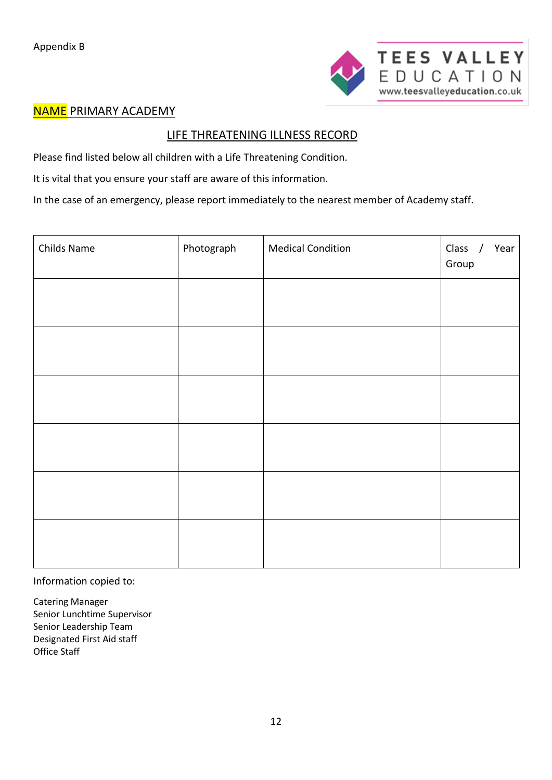

# **NAME PRIMARY ACADEMY**

# LIFE THREATENING ILLNESS RECORD

Please find listed below all children with a Life Threatening Condition.

It is vital that you ensure your staff are aware of this information.

In the case of an emergency, please report immediately to the nearest member of Academy staff.

| Childs Name | Photograph | <b>Medical Condition</b> | Class /<br>Year<br>Group |
|-------------|------------|--------------------------|--------------------------|
|             |            |                          |                          |
|             |            |                          |                          |
|             |            |                          |                          |
|             |            |                          |                          |
|             |            |                          |                          |
|             |            |                          |                          |

Information copied to:

Catering Manager Senior Lunchtime Supervisor Senior Leadership Team Designated First Aid staff Office Staff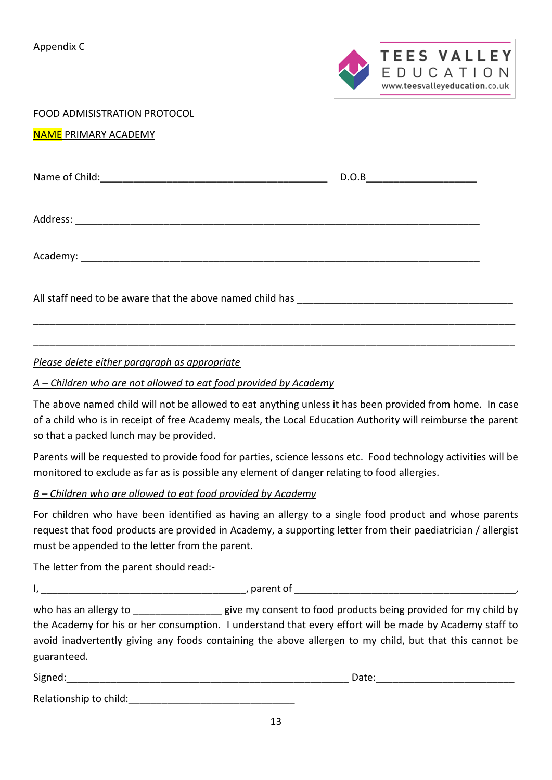Appendix C



| FOOD ADMISISTRATION PROTOCOL |  |  |
|------------------------------|--|--|
|                              |  |  |

#### NAME PRIMARY ACADEMY

#### *Please delete either paragraph as appropriate*

#### *A – Children who are not allowed to eat food provided by Academy*

The above named child will not be allowed to eat anything unless it has been provided from home. In case of a child who is in receipt of free Academy meals, the Local Education Authority will reimburse the parent so that a packed lunch may be provided.

\_\_\_\_\_\_\_\_\_\_\_\_\_\_\_\_\_\_\_\_\_\_\_\_\_\_\_\_\_\_\_\_\_\_\_\_\_\_\_\_\_\_\_\_\_\_\_\_\_\_\_\_\_\_\_\_\_\_\_\_\_\_\_\_\_\_\_\_\_\_\_\_\_\_\_\_\_\_\_\_\_\_\_\_\_\_\_

\_\_\_\_\_\_\_\_\_\_\_\_\_\_\_\_\_\_\_\_\_\_\_\_\_\_\_\_\_\_\_\_\_\_\_\_\_\_\_\_\_\_\_\_\_\_\_\_\_\_\_\_\_\_\_\_\_\_\_\_\_\_\_\_\_\_\_\_\_\_\_\_\_\_\_\_\_\_\_\_\_\_\_\_\_\_\_

Parents will be requested to provide food for parties, science lessons etc. Food technology activities will be monitored to exclude as far as is possible any element of danger relating to food allergies.

#### *B – Children who are allowed to eat food provided by Academy*

For children who have been identified as having an allergy to a single food product and whose parents request that food products are provided in Academy, a supporting letter from their paediatrician / allergist must be appended to the letter from the parent.

The letter from the parent should read:-

I, \_\_\_\_\_\_\_\_\_\_\_\_\_\_\_\_\_\_\_\_\_\_\_\_\_\_\_\_\_\_\_\_\_\_\_\_\_, parent of \_\_\_\_\_\_\_\_\_\_\_\_\_\_\_\_\_\_\_\_\_\_\_\_\_\_\_\_\_\_\_\_\_\_\_\_\_\_\_\_,

who has an allergy to **the end of the same state of the same of the same of the same of the same of the same of the same of the same of the same of the same of the same of the same of the same of the same of the same of th** the Academy for his or her consumption. I understand that every effort will be made by Academy staff to avoid inadvertently giving any foods containing the above allergen to my child, but that this cannot be guaranteed.

| Signed:                | Date: |
|------------------------|-------|
| Relationship to child: |       |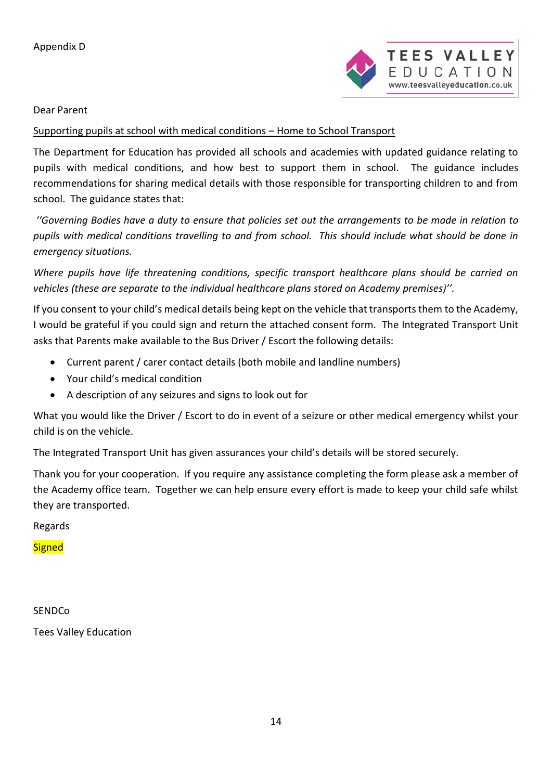

Dear Parent

#### Supporting pupils at school with medical conditions – Home to School Transport

The Department for Education has provided all schools and academies with updated guidance relating to pupils with medical conditions, and how best to support them in school. The guidance includes recommendations for sharing medical details with those responsible for transporting children to and from school. The guidance states that:

*''Governing Bodies have a duty to ensure that policies set out the arrangements to be made in relation to pupils with medical conditions travelling to and from school. This should include what should be done in emergency situations.*

*Where pupils have life threatening conditions, specific transport healthcare plans should be carried on vehicles (these are separate to the individual healthcare plans stored on Academy premises)''.*

If you consent to your child's medical details being kept on the vehicle that transports them to the Academy, I would be grateful if you could sign and return the attached consent form. The Integrated Transport Unit asks that Parents make available to the Bus Driver / Escort the following details:

- Current parent / carer contact details (both mobile and landline numbers)
- Your child's medical condition
- A description of any seizures and signs to look out for

What you would like the Driver / Escort to do in event of a seizure or other medical emergency whilst your child is on the vehicle.

The Integrated Transport Unit has given assurances your child's details will be stored securely.

Thank you for your cooperation. If you require any assistance completing the form please ask a member of the Academy office team. Together we can help ensure every effort is made to keep your child safe whilst they are transported.

Regards

**Signed** 

**SENDCo** Tees Valley Education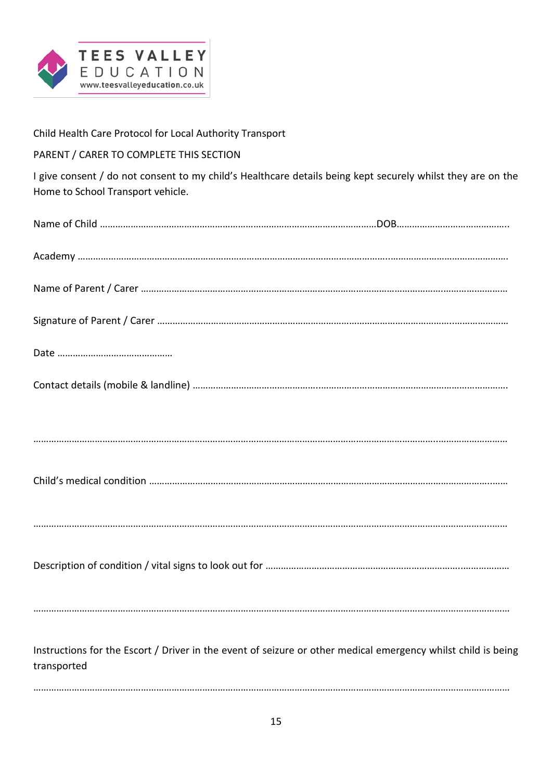

Child Health Care Protocol for Local Authority Transport

## PARENT / CARER TO COMPLETE THIS SECTION

I give consent / do not consent to my child's Healthcare details being kept securely whilst they are on the Home to School Transport vehicle.

| Instructions for the Escort / Driver in the event of seizure or other medical emergency whilst child is being<br>transported |  |
|------------------------------------------------------------------------------------------------------------------------------|--|